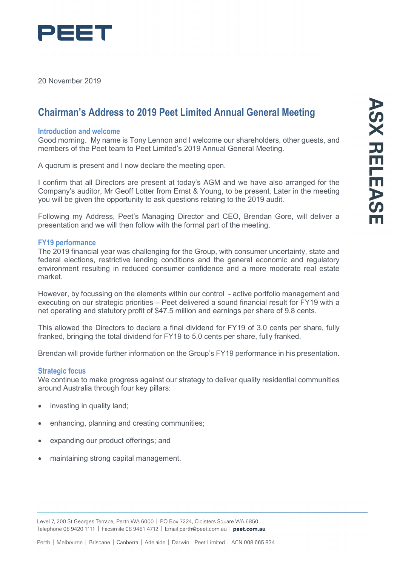

20 November 2019

# **Chairman's Address to 2019 Peet Limited Annual General Meeting**

#### **Introduction and welcome**

Good morning. My name is Tony Lennon and I welcome our shareholders, other guests, and members of the Peet team to Peet Limited's 2019 Annual General Meeting.

A quorum is present and I now declare the meeting open.

I confirm that all Directors are present at today's AGM and we have also arranged for the Company's auditor, Mr Geoff Lotter from Ernst & Young, to be present. Later in the meeting you will be given the opportunity to ask questions relating to the 2019 audit.

Following my Address, Peet's Managing Director and CEO, Brendan Gore, will deliver a presentation and we will then follow with the formal part of the meeting.

#### **FY19 performance**

The 2019 financial year was challenging for the Group, with consumer uncertainty, state and federal elections, restrictive lending conditions and the general economic and regulatory environment resulting in reduced consumer confidence and a more moderate real estate market.

However, by focussing on the elements within our control - active portfolio management and executing on our strategic priorities – Peet delivered a sound financial result for FY19 with a net operating and statutory profit of \$47.5 million and earnings per share of 9.8 cents.

This allowed the Directors to declare a final dividend for FY19 of 3.0 cents per share, fully franked, bringing the total dividend for FY19 to 5.0 cents per share, fully franked.

Brendan will provide further information on the Group's FY19 performance in his presentation.

## **Strategic focus**

We continue to make progress against our strategy to deliver quality residential communities around Australia through four key pillars:

- investing in quality land;
- enhancing, planning and creating communities;
- expanding our product offerings; and
- maintaining strong capital management.

Level 7, 200 St Georges Terrace, Perth WA 6000 | PO Box 7224, Cloisters Square WA 6850 Telephone 08 9420 1111 | Facsimile 08 9481 4712 | Email perth@peet.com.au | peet.com.au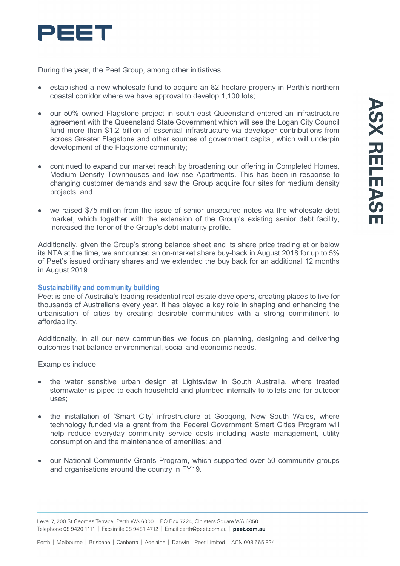

During the year, the Peet Group, among other initiatives:

- established a new wholesale fund to acquire an 82-hectare property in Perth's northern coastal corridor where we have approval to develop 1,100 lots;
- our 50% owned Flagstone project in south east Queensland entered an infrastructure agreement with the Queensland State Government which will see the Logan City Council fund more than \$1.2 billion of essential infrastructure via developer contributions from across Greater Flagstone and other sources of government capital, which will underpin development of the Flagstone community;
- continued to expand our market reach by broadening our offering in Completed Homes, Medium Density Townhouses and low-rise Apartments. This has been in response to changing customer demands and saw the Group acquire four sites for medium density projects; and
- we raised \$75 million from the issue of senior unsecured notes via the wholesale debt market, which together with the extension of the Group's existing senior debt facility, increased the tenor of the Group's debt maturity profile.

Additionally, given the Group's strong balance sheet and its share price trading at or below its NTA at the time, we announced an on-market share buy-back in August 2018 for up to 5% of Peet's issued ordinary shares and we extended the buy back for an additional 12 months in August 2019.

## **Sustainability and community building**

Peet is one of Australia's leading residential real estate developers, creating places to live for thousands of Australians every year. It has played a key role in shaping and enhancing the urbanisation of cities by creating desirable communities with a strong commitment to affordability.

Additionally, in all our new communities we focus on planning, designing and delivering outcomes that balance environmental, social and economic needs.

Examples include:

- the water sensitive urban design at Lightsview in South Australia, where treated stormwater is piped to each household and plumbed internally to toilets and for outdoor uses;
- the installation of 'Smart City' infrastructure at Googong, New South Wales, where technology funded via a grant from the Federal Government Smart Cities Program will help reduce everyday community service costs including waste management, utility consumption and the maintenance of amenities; and
- our National Community Grants Program, which supported over 50 community groups and organisations around the country in FY19.

Level 7, 200 St Georges Terrace, Perth WA 6000 | PO Box 7224, Cloisters Square WA 6850 Telephone 08 9420 1111 | Facsimile 08 9481 4712 | Email perth@peet.com.au | peet.com.au